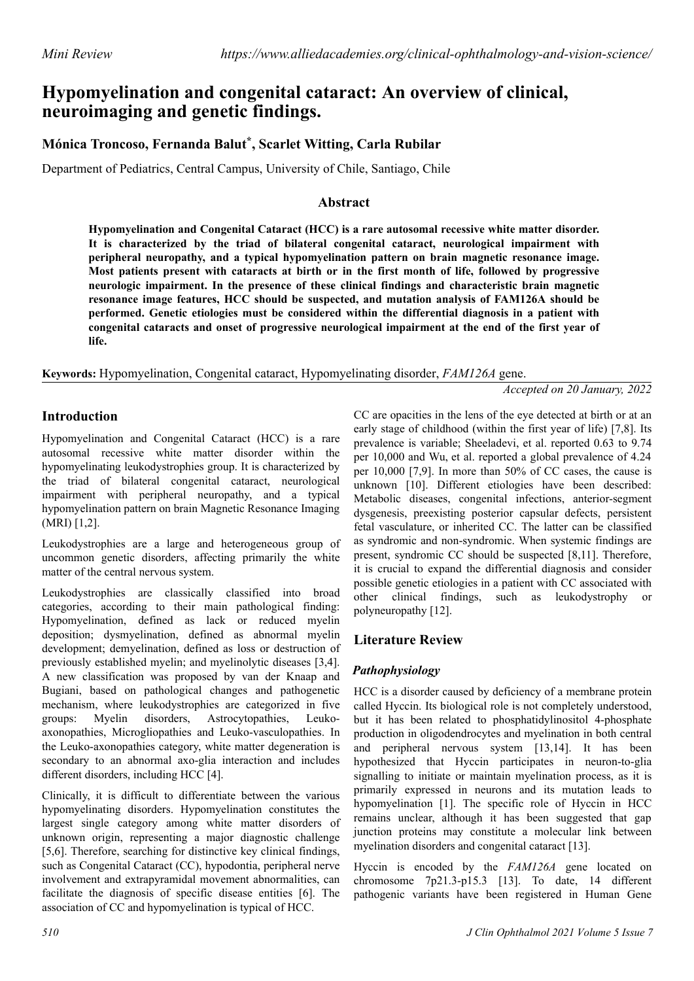# **Hypomyelination and congenital cataract: An overview of clinical, neuroimaging and genetic findings.**

## **Mónica Troncoso, Fernanda Balut\* , Scarlet Witting, Carla Rubilar**

Department of Pediatrics, Central Campus, University of Chile, Santiago, Chile

#### **Abstract**

**Hypomyelination and Congenital Cataract (HCC) is a rare autosomal recessive white matter disorder. It is characterized by the triad of bilateral congenital cataract, neurological impairment with peripheral neuropathy, and a typical hypomyelination pattern on brain magnetic resonance image. Most patients present with cataracts at birth or in the first month of life, followed by progressive neurologic impairment. In the presence of these clinical findings and characteristic brain magnetic resonance image features, HCC should be suspected, and mutation analysis of FAM126A should be performed. Genetic etiologies must be considered within the differential diagnosis in a patient with congenital cataracts and onset of progressive neurological impairment at the end of the first year of life.**

**Keywords:** Hypomyelination, Congenital cataract, Hypomyelinating disorder, *FAM126A* gene.

*Accepted on 20 January, 2022*

### **Introduction**

Hypomyelination and Congenital Cataract (HCC) is a rare autosomal recessive white matter disorder within the hypomyelinating leukodystrophies group. It is characterized by the triad of bilateral congenital cataract, neurological impairment with peripheral neuropathy, and a typical hypomyelination pattern on brain Magnetic Resonance Imaging (MRI) [1,2].

Leukodystrophies are a large and heterogeneous group of uncommon genetic disorders, affecting primarily the white matter of the central nervous system.

Leukodystrophies are classically classified into broad categories, according to their main pathological finding: Hypomyelination, defined as lack or reduced myelin deposition; dysmyelination, defined as abnormal myelin development; demyelination, defined as loss or destruction of previously established myelin; and myelinolytic diseases [3,4]. A new classification was proposed by van der Knaap and Bugiani, based on pathological changes and pathogenetic mechanism, where leukodystrophies are categorized in five groups: Myelin disorders, Astrocytopathies, Leukoaxonopathies, Microgliopathies and Leuko-vasculopathies. In the Leuko-axonopathies category, white matter degeneration is secondary to an abnormal axo-glia interaction and includes different disorders, including HCC [4].

Clinically, it is difficult to differentiate between the various hypomyelinating disorders. Hypomyelination constitutes the largest single category among white matter disorders of unknown origin, representing a major diagnostic challenge [5,6]. Therefore, searching for distinctive key clinical findings, such as Congenital Cataract (CC), hypodontia, peripheral nerve involvement and extrapyramidal movement abnormalities, can facilitate the diagnosis of specific disease entities [6]. The association of CC and hypomyelination is typical of HCC.

CC are opacities in the lens of the eye detected at birth or at an early stage of childhood (within the first year of life) [7,8]. Its prevalence is variable; Sheeladevi, et al. reported 0.63 to 9.74 per 10,000 and Wu, et al. reported a global prevalence of 4.24 per 10,000 [7,9]. In more than 50% of CC cases, the cause is unknown [10]. Different etiologies have been described: Metabolic diseases, congenital infections, anterior-segment dysgenesis, preexisting posterior capsular defects, persistent fetal vasculature, or inherited CC. The latter can be classified as syndromic and non-syndromic. When systemic findings are present, syndromic CC should be suspected [8,11]. Therefore, it is crucial to expand the differential diagnosis and consider possible genetic etiologies in a patient with CC associated with other clinical findings, such as leukodystrophy or polyneuropathy [12].

## **Literature Review**

#### *Pathophysiology*

HCC is a disorder caused by deficiency of a membrane protein called Hyccin. Its biological role is not completely understood, but it has been related to phosphatidylinositol 4-phosphate production in oligodendrocytes and myelination in both central and peripheral nervous system [13,14]. It has been hypothesized that Hyccin participates in neuron-to-glia signalling to initiate or maintain myelination process, as it is primarily expressed in neurons and its mutation leads to hypomyelination [1]. The specific role of Hyccin in HCC remains unclear, although it has been suggested that gap junction proteins may constitute a molecular link between myelination disorders and congenital cataract [13].

Hyccin is encoded by the *FAM126A* gene located on chromosome 7p21.3-p15.3 [13]. To date, 14 different pathogenic variants have been registered in Human Gene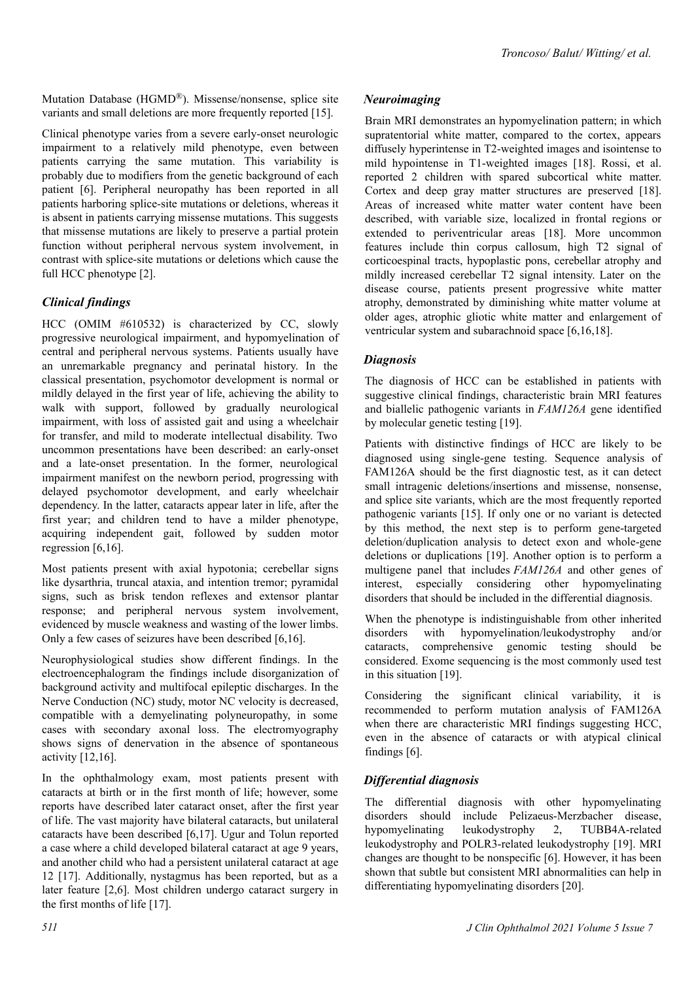Mutation Database (HGMD®). Missense/nonsense, splice site variants and small deletions are more frequently reported [15].

Clinical phenotype varies from a severe early-onset neurologic impairment to a relatively mild phenotype, even between patients carrying the same mutation. This variability is probably due to modifiers from the genetic background of each patient [6]. Peripheral neuropathy has been reported in all patients harboring splice-site mutations or deletions, whereas it is absent in patients carrying missense mutations. This suggests that missense mutations are likely to preserve a partial protein function without peripheral nervous system involvement, in contrast with splice-site mutations or deletions which cause the full HCC phenotype [2].

### *Clinical findings*

HCC (OMIM #610532) is characterized by CC, slowly progressive neurological impairment, and hypomyelination of central and peripheral nervous systems. Patients usually have an unremarkable pregnancy and perinatal history. In the classical presentation, psychomotor development is normal or mildly delayed in the first year of life, achieving the ability to walk with support, followed by gradually neurological impairment, with loss of assisted gait and using a wheelchair for transfer, and mild to moderate intellectual disability. Two uncommon presentations have been described: an early-onset and a late-onset presentation. In the former, neurological impairment manifest on the newborn period, progressing with delayed psychomotor development, and early wheelchair dependency. In the latter, cataracts appear later in life, after the first year; and children tend to have a milder phenotype, acquiring independent gait, followed by sudden motor regression [6,16].

Most patients present with axial hypotonia; cerebellar signs like dysarthria, truncal ataxia, and intention tremor; pyramidal signs, such as brisk tendon reflexes and extensor plantar response; and peripheral nervous system involvement, evidenced by muscle weakness and wasting of the lower limbs. Only a few cases of seizures have been described [6,16].

Neurophysiological studies show different findings. In the electroencephalogram the findings include disorganization of background activity and multifocal epileptic discharges. In the Nerve Conduction (NC) study, motor NC velocity is decreased, compatible with a demyelinating polyneuropathy, in some cases with secondary axonal loss. The electromyography shows signs of denervation in the absence of spontaneous activity [12,16].

In the ophthalmology exam, most patients present with cataracts at birth or in the first month of life; however, some reports have described later cataract onset, after the first year of life. The vast majority have bilateral cataracts, but unilateral cataracts have been described [6,17]. Ugur and Tolun reported a case where a child developed bilateral cataract at age 9 years, and another child who had a persistent unilateral cataract at age 12 [17]. Additionally, nystagmus has been reported, but as a later feature [2,6]. Most children undergo cataract surgery in the first months of life [17].

Brain MRI demonstrates an hypomyelination pattern; in which supratentorial white matter, compared to the cortex, appears diffusely hyperintense in T2-weighted images and isointense to mild hypointense in T1-weighted images [18]. Rossi, et al. reported 2 children with spared subcortical white matter. Cortex and deep gray matter structures are preserved [18]. Areas of increased white matter water content have been described, with variable size, localized in frontal regions or extended to periventricular areas [18]. More uncommon features include thin corpus callosum, high T2 signal of corticoespinal tracts, hypoplastic pons, cerebellar atrophy and mildly increased cerebellar T2 signal intensity. Later on the disease course, patients present progressive white matter atrophy, demonstrated by diminishing white matter volume at older ages, atrophic gliotic white matter and enlargement of ventricular system and subarachnoid space [6,16,18].

### *Diagnosis*

The diagnosis of HCC can be established in patients with suggestive clinical findings, characteristic brain MRI features and biallelic pathogenic variants in *FAM126A* gene identified by molecular genetic testing [19].

Patients with distinctive findings of HCC are likely to be diagnosed using single-gene testing. Sequence analysis of FAM126A should be the first diagnostic test, as it can detect small intragenic deletions/insertions and missense, nonsense, and splice site variants, which are the most frequently reported pathogenic variants [15]. If only one or no variant is detected by this method, the next step is to perform gene-targeted deletion/duplication analysis to detect exon and whole-gene deletions or duplications [19]. Another option is to perform a multigene panel that includes *FAM126A* and other genes of interest, especially considering other hypomyelinating disorders that should be included in the differential diagnosis.

When the phenotype is indistinguishable from other inherited disorders with hypomyelination/leukodystrophy and/or cataracts, comprehensive genomic testing should be considered. Exome sequencing is the most commonly used test in this situation [19].

Considering the significant clinical variability, it is recommended to perform mutation analysis of FAM126A when there are characteristic MRI findings suggesting HCC, even in the absence of cataracts or with atypical clinical findings [6].

## *Differential diagnosis*

The differential diagnosis with other hypomyelinating disorders should include Pelizaeus-Merzbacher disease, hypomyelinating leukodystrophy 2, TUBB4A-related leukodystrophy and POLR3-related leukodystrophy [19]. MRI changes are thought to be nonspecific [6]. However, it has been shown that subtle but consistent MRI abnormalities can help in differentiating hypomyelinating disorders [20].